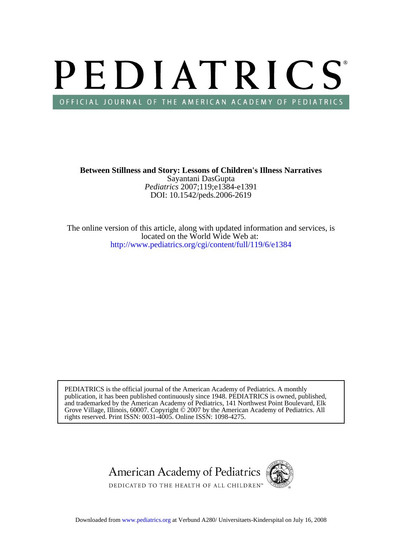# PEDIATRICS OFFICIAL JOURNAL OF THE AMERICAN ACADEMY OF PEDIATRICS

DOI: 10.1542/peds.2006-2619 *Pediatrics* 2007;119;e1384-e1391 Sayantani DasGupta **Between Stillness and Story: Lessons of Children's Illness Narratives**

<http://www.pediatrics.org/cgi/content/full/119/6/e1384> located on the World Wide Web at: The online version of this article, along with updated information and services, is

rights reserved. Print ISSN: 0031-4005. Online ISSN: 1098-4275. Grove Village, Illinois, 60007. Copyright  $\ddot{\odot}$  2007 by the American Academy of Pediatrics. All and trademarked by the American Academy of Pediatrics, 141 Northwest Point Boulevard, Elk publication, it has been published continuously since 1948. PEDIATRICS is owned, published, PEDIATRICS is the official journal of the American Academy of Pediatrics. A monthly

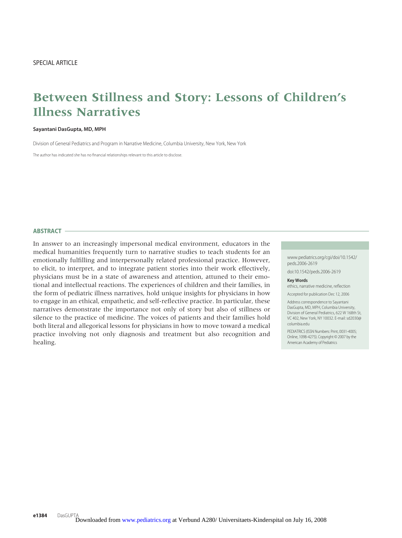# **Between Stillness and Story: Lessons of Children's Illness Narratives**

## **Sayantani DasGupta, MD, MPH**

Division of General Pediatrics and Program in Narrative Medicine, Columbia University, New York, New York

The author has indicated she has no financial relationships relevant to this article to disclose.

# **ABSTRACT**

In answer to an increasingly impersonal medical environment, educators in the medical humanities frequently turn to narrative studies to teach students for an emotionally fulfilling and interpersonally related professional practice. However, to elicit, to interpret, and to integrate patient stories into their work effectively, physicians must be in a state of awareness and attention, attuned to their emotional and intellectual reactions. The experiences of children and their families, in the form of pediatric illness narratives, hold unique insights for physicians in how to engage in an ethical, empathetic, and self-reflective practice. In particular, these narratives demonstrate the importance not only of story but also of stillness or silence to the practice of medicine. The voices of patients and their families hold both literal and allegorical lessons for physicians in how to move toward a medical practice involving not only diagnosis and treatment but also recognition and healing.

www.pediatrics.org/cgi/doi/10.1542/ peds.2006-2619

doi:10.1542/peds.2006-2619

#### **Key Words**

ethics, narrative medicine, reflection

Accepted for publication Dec 12, 2006

Address correspondence to Sayantani DasGupta, MD, MPH, Columbia University, Division of General Pediatrics, 622 W 168th St VC 402, New York, NY 10032. E-mail: sd2030@ columbia.edu

PEDIATRICS (ISSN Numbers: Print, 0031-4005; Online, 1098-4275). Copyright © 2007 by the American Academy of Pediatrics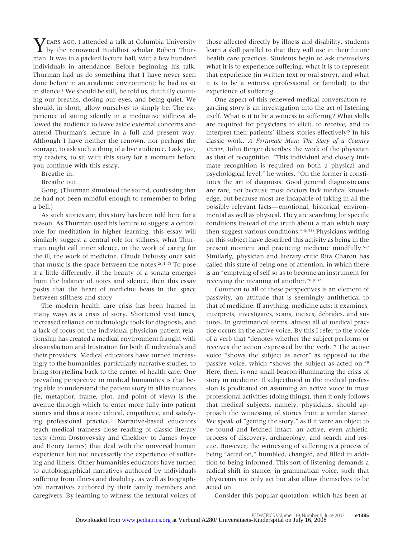$\sum$ EARS AGO, I attended a talk at Columbia University  $\perp$  by the renowned Buddhist scholar Robert Thurman. It was in a packed lecture hall, with a few hundred individuals in attendance. Before beginning his talk, Thurman had us do something that I have never seen done before in an academic environment; he had us sit in silence.1 We should be still, he told us, dutifully counting our breaths, closing our eyes, and being quiet. We should, in short, allow ourselves to simply be. The experience of sitting silently in a meditative stillness allowed the audience to leave aside external concerns and attend Thurman's lecture in a full and present way. Although I have neither the renown, nor perhaps the courage, to ask such a thing of a live audience, I ask you, my readers, to sit with this story for a moment before you continue with this essay.

Breathe in.

Breathe out.

Gong. (Thurman simulated the sound, confessing that he had not been mindful enough to remember to bring a bell.)

As such stories are, this story has been told here for a reason. As Thurman used his lecture to suggest a central role for meditation in higher learning, this essay will similarly suggest a central role for stillness, what Thurman might call inner silence, in the work of caring for the ill, the work of medicine. Claude Debussy once said that music is the space between the notes.<sup>2(p147)</sup> To pose it a little differently, if the beauty of a sonata emerges from the balance of notes and silence, then this essay posits that the heart of medicine beats in the space between stillness and story.

The modern health care crisis has been framed in many ways as a crisis of story. Shortened visit times, increased reliance on technologic tools for diagnosis, and a lack of focus on the individual physician-patient relationship has created a medical environment fraught with dissatisfaction and frustration for both ill individuals and their providers. Medical educators have turned increasingly to the humanities, particularly narrative studies, to bring storytelling back to the center of health care. One prevailing perspective in medical humanities is that being able to understand the patient story in all its nuances (ie, metaphor, frame, plot, and point of view) is the avenue through which to enter more fully into patient stories and thus a more ethical, empathetic, and satisfying professional practice.3 Narrative-based educators teach medical trainees close reading of classic literary texts (from Dostoyevsky and Chekhov to James Joyce and Henry James) that deal with the universal human experience but not necessarily the experience of suffering and illness. Other humanities educators have turned to autobiographical narratives authored by individuals suffering from illness and disability, as well as biographical narratives authored by their family members and caregivers. By learning to witness the textural voices of

those affected directly by illness and disability, students learn a skill parallel to that they will use in their future health care practices. Students begin to ask themselves what it is to experience suffering, what it is to represent that experience (in written text or oral story), and what it is to be a witness (professional or familial) to the experience of suffering.

One aspect of this renewed medical conversation regarding story is an investigation into the act of listening itself. What is it to be a witness to suffering? What skills are required for physicians to elicit, to receive, and to interpret their patients' illness stories effectively? In his classic work, *A Fortunate Man: The Story of a Country Doctor,* John Berger describes the work of the physician as that of recognition. "This individual and closely intimate recognition is required on both a physical and psychological level," he writes. "On the former it constitutes the art of diagnosis. Good general diagnosticians are rare, not because most doctors lack medical knowledge, but because most are incapable of taking in all the possibly relevant facts— emotional, historical, environmental as well as physical. They are searching for specific conditions instead of the truth about a man which may then suggest various conditions."4(p73) Physicians writing on this subject have described this activity as being in the present moment and practicing medicine mindfully.<sup>5-7</sup> Similarly, physician and literary critic Rita Charon has called this state of being one of attention, in which there is an "emptying of self so as to become an instrument for receiving the meaning of another."8(p132)

Common to all of these perspectives is an element of passivity, an attitude that is seemingly antithetical to that of medicine. If anything, medicine acts; it examines, interprets, investigates, scans, incises, debrides, and sutures. In grammatical terms, almost all of medical practice occurs in the active voice. By this I refer to the voice of a verb that "denotes whether the subject performs or receives the action expressed by the verb."9 The active voice "shows the subject as actor" as opposed to the passive voice, which "shows the subject as acted on."9 Here, then, is one small beacon illuminating the crisis of story in medicine. If subjecthood in the medical profession is predicated on assuming an active voice in most professional activities (doing things), then it only follows that medical subjects, namely, physicians, should approach the witnessing of stories from a similar stance. We speak of "getting the story," as if it were an object to be found and fetched intact, an active, even athletic, process of discovery, archaeology, and search and rescue. However, the witnessing of suffering is a process of being "acted on," humbled, changed, and filled in addition to being informed. This sort of listening demands a radical shift in stance, in grammatical voice, such that physicians not only act but also allow themselves to be acted on.

Consider this popular quotation, which has been at-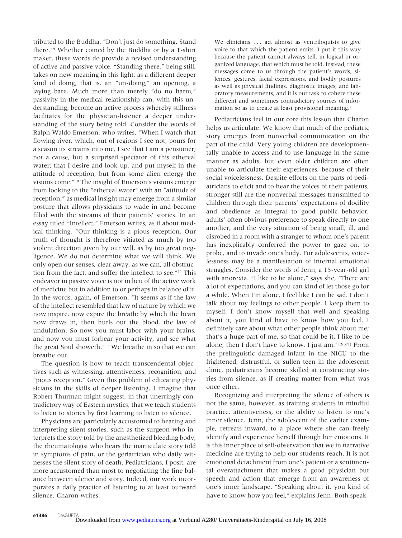tributed to the Buddha, "Don't just do something. Stand there."9 Whether coined by the Buddha or by a T-shirt maker, these words do provide a revised understanding of active and passive voice. "Standing there," being still, takes on new meaning in this light, as a different deeper kind of doing, that is, an "un-doing," an opening, a laying bare. Much more than merely "do no harm," passivity in the medical relationship can, with this understanding, become an active process whereby stillness facilitates for the physician-listener a deeper understanding of the story being told. Consider the words of Ralph Waldo Emerson, who writes, "When I watch that flowing river, which, out of regions I see not, pours for a season its streams into me, I see that I am a pensioner; not a cause, but a surprised spectator of this ethereal water; that I desire and look up, and put myself in the attitude of reception, but from some alien energy the visions come."10 The insight of Emerson's visions emerge from looking to the "ethereal water" with an "attitude of reception," as medical insight may emerge from a similar posture that allows physicians to wade in and become filled with the streams of their patients' stories. In an essay titled "Intellect," Emerson writes, as if about medical thinking, "Our thinking is a pious reception. Our truth of thought is therefore vitiated as much by too violent direction given by our will, as by too great negligence. We do not determine what we will think. We only open our senses, clear away, as we can, all obstruction from the fact, and suffer the intellect to see."11 This endeavor in passive voice is not in lieu of the active work of medicine but in addition to or perhaps in balance of it. In the words, again, of Emerson, "It seems as if the law of the intellect resembled that law of nature by which we now inspire, now expire the breath; by which the heart now draws in, then hurls out the blood, the law of undulation. So now you must labor with your brains, and now you must forbear your activity, and see what the great Soul showeth."11 We breathe in so that we can breathe out.

The question is how to teach transcendental objectives such as witnessing, attentiveness, recognition, and "pious reception." Given this problem of educating physicians in the skills of deeper listening, I imagine that Robert Thurman might suggest, in that unerringly contradictory way of Eastern mystics, that we teach students to listen to stories by first learning to listen to silence.

Physicians are particularly accustomed to hearing and interpreting silent stories, such as the surgeon who interprets the story told by the anesthetized bleeding body, the rheumatologist who hears the inarticulate story told in symptoms of pain, or the geriatrician who daily witnesses the silent story of death. Pediatricians, I posit, are more accustomed than most to negotiating the fine balance between silence and story. Indeed, our work incorporates a daily practice of listening to at least outward silence. Charon writes:

We clinicians . . . act almost as ventriloquists to give voice to that which the patient emits. I put it this way because the patient cannot always tell, in logical or organized language, that which must be told. Instead, these messages come to us through the patient's words, silences, gestures, facial expressions, and bodily postures as well as physical findings, diagnostic images, and laboratory measurements, and it is our task to cohere these different and sometimes contradictory sources of information so as to create at least provisional meaning.8

Pediatricians feel in our core this lesson that Charon helps us articulate. We know that much of the pediatric story emerges from nonverbal communication on the part of the child. Very young children are developmentally unable to access and to use language in the same manner as adults, but even older children are often unable to articulate their experiences, because of their social voicelessness. Despite efforts on the parts of pediatricians to elicit and to hear the voices of their patients, stronger still are the nonverbal messages transmitted to children through their parents' expectations of docility and obedience as integral to good public behavior, adults' often obvious preference to speak directly to one another, and the very situation of being small, ill, and disrobed in a room with a stranger to whom one's parent has inexplicably conferred the power to gaze on, to probe, and to invade one's body. For adolescents, voicelessness may be a manifestation of internal emotional struggles. Consider the words of Jenn, a 15-year-old girl with anorexia. "I like to be alone," says she, "There are a lot of expectations, and you can kind of let those go for a while. When I'm alone, I feel like I can be sad. I don't talk about my feelings to other people. I keep them to myself. I don't know myself that well and speaking about it, you kind of have to know how you feel. I definitely care about what other people think about me; that's a huge part of me, so that could be it. I like to be alone, then I don't have to know, I just am." $12(p71)$  From the prelinguistic damaged infant in the NICU to the frightened, distrustful, or sullen teen in the adolescent clinic, pediatricians become skilled at constructing stories from silence, as if creating matter from what was once ether.

Recognizing and interpreting the silence of others is not the same, however, as training students in mindful practice, attentiveness, or the ability to listen to one's inner silence. Jenn, the adolescent of the earlier example, retreats inward, to a place where she can freely identify and experience herself through her emotions. It is this inner place of self-observation that we in narrative medicine are trying to help our students reach. It is not emotional detachment from one's patient or a sentimental overattachment that makes a good physician but speech and action that emerge from an awareness of one's inner landscape. "Speaking about it, you kind of have to know how you feel," explains Jenn. Both speak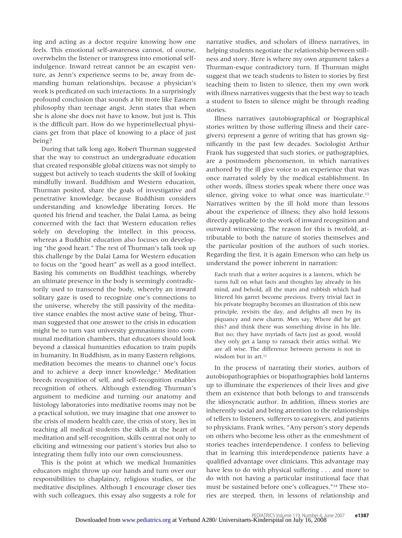ing and acting as a doctor require knowing how one feels. This emotional self-awareness cannot, of course, overwhelm the listener or transgress into emotional selfindulgence. Inward retreat cannot be an escapist venture, as Jenn's experience seems to be, away from demanding human relationships, because a physician's work is predicated on such interactions. In a surprisingly profound conclusion that sounds a bit more like Eastern philosophy than teenage angst, Jenn states that when she is alone she does not have to know, but just is. This is the difficult part. How do we hyperintellectual physicians get from that place of knowing to a place of just being?

During that talk long ago, Robert Thurman suggested that the way to construct an undergraduate education that created responsible global citizens was not simply to suggest but actively to teach students the skill of looking mindfully inward. Buddhism and Western education, Thurman posited, share the goals of investigative and penetrative knowledge, because Buddhism considers understanding and knowledge liberating forces. He quoted his friend and teacher, the Dalai Lama, as being concerned with the fact that Western education relies solely on developing the intellect in this process, whereas a Buddhist education also focuses on developing "the good heart." The rest of Thurman's talk took up this challenge by the Dalai Lama for Western education to focus on the "good heart" as well as a good intellect. Basing his comments on Buddhist teachings, whereby an ultimate presence in the body is seemingly contradictorily used to transcend the body, whereby an inward solitary gaze is used to recognize one's connections to the universe, whereby the still passivity of the meditative stance enables the most active state of being, Thurman suggested that one answer to the crisis in education might be to turn vast university gymnasiums into communal meditation chambers, that educators should look beyond a classical humanities education to train pupils in humanity. In Buddhism, as in many Eastern religions, meditation becomes the means to channel one's focus and to achieve a deep inner knowledge.1 Meditation breeds recognition of self, and self-recognition enables recognition of others. Although extending Thurman's argument to medicine and turning our anatomy and histology laboratories into meditative rooms may not be a practical solution, we may imagine that one answer to the crisis of modern health care, the crisis of story, lies in teaching all medical students the skills at the heart of meditation and self-recognition, skills central not only to eliciting and witnessing our patient's stories but also to integrating them fully into our own consciousness.

This is the point at which we medical humanities educators might throw up our hands and turn over our responsibilities to chaplaincy, religious studies, or the meditative disciplines. Although I encourage closer ties with such colleagues, this essay also suggests a role for

narrative studies, and scholars of illness narratives, in helping students negotiate the relationship between stillness and story. Here is where my own argument takes a Thurman-esque contradictory turn. If Thurman might suggest that we teach students to listen to stories by first teaching them to listen to silence, then my own work with illness narratives suggests that the best way to teach a student to listen to silence might be through reading stories.

Illness narratives (autobiographical or biographical stories written by those suffering illness and their caregivers) represent a genre of writing that has grown significantly in the past few decades. Sociologist Arthur Frank has suggested that such stories, or pathographies, are a postmodern phenomenon, in which narratives authored by the ill give voice to an experience that was once narrated solely by the medical establishment. In other words, illness stories speak where there once was silence, giving voice to what once was inarticulate.<sup>13</sup> Narratives written by the ill hold more than lessons about the experience of illness; they also hold lessons directly applicable to the work of inward recognition and outward witnessing. The reason for this is twofold, attributable to both the nature of stories themselves and the particular position of the authors of such stories. Regarding the first, it is again Emerson who can help us understand the power inherent in narration:

Each truth that a writer acquires is a lantern, which he turns full on what facts and thoughts lay already in his mind, and behold, all the mats and rubbish which had littered his garret become precious. Every trivial fact in his private biography becomes an illustration of this new principle, revisits the day, and delights all men by its piquancy and new charm. Men say, Where did he get this? and think there was something divine in his life. But no; they have myriads of facts just as good, would they only get a lamp to ransack their attics withal. We are all wise. The difference between persons is not in wisdom but in art. $11$ 

In the process of narrating their stories, authors of autobiopathographies or biopathographies hold lanterns up to illuminate the experiences of their lives and give them an existence that both belongs to and transcends the idiosyncratic author. In addition, illness stories are inherently social and bring attention to the relationships of tellers to listeners, sufferers to caregivers, and patients to physicians. Frank writes, "Any person's story depends on others who become less other as the enmeshment of stories teaches interdependence. I confess to believing that in learning this interdependence patients have a qualified advantage over clinicians. This advantage may have less to do with physical suffering . . . and more to do with not having a particular institutional face that must be sustained before one's colleagues."14 These stories are steeped, then, in lessons of relationship and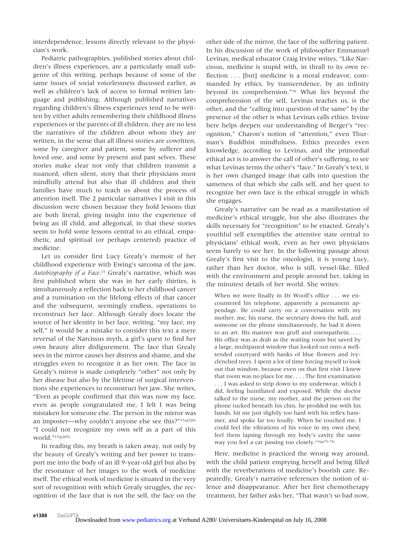interdependence, lessons directly relevant to the physician's work.

Pediatric pathographies, published stories about children's illness experiences, are a particularly small subgenre of this writing, perhaps because of some of the same issues of social voicelessness discussed earlier, as well as children's lack of access to formal written language and publishing. Although published narratives regarding children's illness experiences tend to be written by either adults remembering their childhood illness experiences or the parents of ill children, they are no less the narratives of the children about whom they are written, in the sense that all illness stories are cowritten, some by caregiver and patient, some by sufferer and loved one, and some by present and past selves. These stories make clear not only that children transmit a nuanced, often silent, story that their physicians must mindfully attend but also that ill children and their families have much to teach us about the process of attention itself. The 2 particular narratives I visit in this discussion were chosen because they hold lessons that are both literal, giving insight into the experience of being an ill child, and allegorical, in that these stories seem to hold some lessons central to an ethical, empathetic, and spiritual (or perhaps centered) practice of medicine.

Let us consider first Lucy Grealy's memoir of her childhood experience with Ewing's sarcoma of the jaw, *Autobiography of a Face*.15 Grealy's narrative, which was first published when she was in her early thirties, is simultaneously a reflection back to her childhood cancer and a rumination on the lifelong effects of that cancer and the subsequent, seemingly endless, operations to reconstruct her face. Although Grealy does locate the source of her identity in her face, writing, "my face, my self," it would be a mistake to consider this text a mere reversal of the Narcissus myth, a girl's quest to find her own beauty after disfigurement. The face that Grealy sees in the mirror causes her distress and shame, and she struggles even to recognize it as her own. The face in Grealy's mirror is made completely "other" not only by her disease but also by the lifetime of surgical interventions she experiences to reconstruct her jaw. She writes, "Even as people confirmed that this was now my face, even as people congratulated me, I felt I was being mistaken for someone else. The person in the mirror was an imposter—why couldn't anyone else see this?"15(p220) "I could not recognize my own self as a part of this world."15(p205)

In reading this, my breath is taken away, not only by the beauty of Grealy's writing and her power to transport me into the body of an ill 9-year-old girl but also by the resonance of her images to the work of medicine itself. The ethical work of medicine is situated in the very sort of recognition with which Grealy struggles, the recognition of the face that is not the self, the face on the

other side of the mirror, the face of the suffering patient. In his discussion of the work of philosopher Emmanuel Levinas, medical educator Craig Irvine writes, "Like Narcissus, medicine is stupid with, in thrall to its own reflection . . . [but] medicine is a moral endeavor, commanded by ethics, by transcendence, by an infinity beyond its comprehension."16 What lies beyond the comprehension of the self, Levinas teaches us, is the other, and the "calling into question of the same" by the presence of the other is what Levinas calls ethics. Irvine here helps deepen our understanding of Berger's "recognition," Charon's notion of "attention," even Thurman's Buddhist mindfulness. Ethics precedes even knowledge, according to Levinas, and the primordial ethical act is to answer the call of other's suffering, to see what Levinas terms the other's "face." In Grealy's text, it is her own changed image that calls into question the sameness of that which she calls self, and her quest to recognize her own face is the ethical struggle in which she engages.

Grealy's narrative can be read as a manifestation of medicine's ethical struggle, but she also illustrates the skills necessary for "recognition" to be enacted. Grealy's youthful self exemplifies the attentive state central to physicians' ethical work, even as her own physicians seem barely to see her. In the following passage about Grealy's first visit to the oncologist, it is young Lucy, rather than her doctor, who is still, vessel-like, filled with the environment and people around her, taking in the minutest details of her world. She writes:

When we were finally in Dr Woolf's office . . . we encountered his telephone, apparently a permanent appendage. He could carry on a conversation with my mother, me, his nurse, the secretary down the hall, and someone on the phone simultaneously, he had it down to an art. His manner was gruff and unempathetic.... His office was as drab as the waiting room but saved by a large, multipaned window that looked out onto a welltended courtyard with banks of blue flowers and ivyclenched trees. I spent a lot of time forcing myself to look out that window, because even on that first visit I knew that room was no place for me. . . . The first examination . . . I was asked to strip down to my underwear, which I did, feeling humiliated and exposed. While the doctor talked to the nurse, my mother, and the person on the phone tucked beneath his chin, he prodded me with his hands, hit me just slightly too hard with his reflex hammer, and spoke far too loudly. When he touched me, I could feel the vibrations of his voice in my own chest, feel them lapsing through my body's cavity the same way you feel a car passing too closely.15(pp73–74)

Here, medicine is practiced the wrong way around, with the child patient emptying herself and being filled with the reverberations of medicine's boorish care. Repeatedly, Grealy's narrative references the notion of silence and disappearance. After her first chemotherapy treatment, her father asks her, "That wasn't so bad now,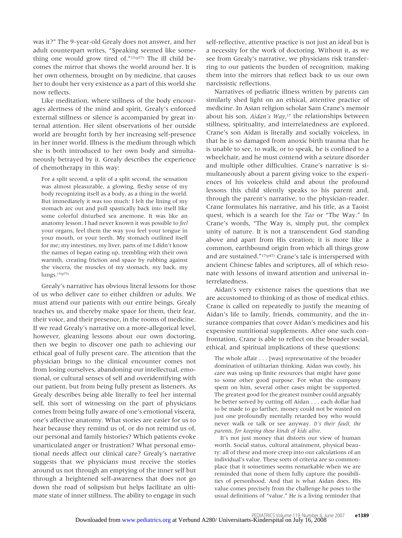was it?" The 9-year-old Grealy does not answer, and her adult counterpart writes, "Speaking seemed like something one would grow tired of."15(p77) The ill child becomes the mirror that shows the world around her. It is her own otherness, brought on by medicine, that causes her to doubt her very existence as a part of this world she now reflects.

Like meditation, where stillness of the body encourages alertness of the mind and spirit, Grealy's enforced external stillness or silence is accompanied by great internal attention. Her silent observations of her outside world are brought forth by her increasing self-presence in her inner world. Illness is the medium through which she is both introduced to her own body and simultaneously betrayed by it. Grealy describes the experience of chemotherapy in this way:

For a split second, a split of a split second, the sensation was almost pleasurable, a glowing, fleshy sense of my body recognizing itself as a body, as a thing in the world. But immediately it was too much: I felt the lining of my stomach arc out and pull spastically back into itself like some colorful disturbed sea anemone. It was like an anatomy lesson. I had never known it was possible to *feel* your organs, feel them the way you feel your tongue in your mouth, or your teeth. My stomach outlined itself for me; my intestines, my liver, parts of me I didn't know the names of began eating up, trembling with their own warmth, creating friction and space by rubbing against the viscera, the muscles of my stomach, my back, my lungs.15(p75)

Grealy's narrative has obvious literal lessons for those of us who deliver care to either children or adults. We must attend our patients with our entire beings, Grealy teaches us, and thereby make space for them, their fear, their voice, and their presence, in the rooms of medicine. If we read Grealy's narrative on a more-allegorical level, however, gleaning lessons about our own doctoring, then we begin to discover one path to achieving our ethical goal of fully present care. The attention that the physician brings to the clinical encounter comes not from losing ourselves, abandoning our intellectual, emotional, or cultural senses of self and overidentifying with our patient, but from being fully present as listeners. As Grealy describes being able literally to feel her internal self, this sort of witnessing on the part of physicians comes from being fully aware of one's emotional viscera, one's affective anatomy. What stories are easier for us to hear because they remind us of, or do not remind us of, our personal and family histories? Which patients evoke unarticulated anger or frustration? What personal emotional needs affect our clinical care? Grealy's narrative suggests that we physicians must receive the stories around us not through an emptying of the inner self but through a heightened self-awareness that does not go down the road of solipsism but helps facilitate an ultimate state of inner stillness. The ability to engage in such self-reflective, attentive practice is not just an ideal but is a necessity for the work of doctoring. Without it, as we see from Grealy's narrative, we physicians risk transferring to our patients the burden of recognition, making them into the mirrors that reflect back to us our own narcissistic reflections.

Narratives of pediatric illness written by parents can similarly shed light on an ethical, attentive practice of medicine. In Asian religion scholar Sam Crane's memoir about his son, *Aidan's Way*,<sup>17</sup> the relationships between stillness, spirituality, and interrelatedness are explored. Crane's son Aidan is literally and socially voiceless, in that he is so damaged from anoxic birth trauma that he is unable to see, to walk, or to speak, he is confined to a wheelchair, and he must contend with a seizure disorder and multiple other difficulties. Crane's narrative is simultaneously about a parent giving voice to the experiences of his voiceless child and about the profound lessons this child silently speaks to his parent and, through the parent's narrative, to the physician-reader. Crane formulates his narrative, and his title, as a Taoist quest, which is a search for the *Tao* or "The Way." In Crane's words, "The Way is, simply put, the complex unity of nature. It is not a transcendent God standing above and apart from His creation; it is more like a common, earthbound origin from which all things grow and are sustained."17(p47) Crane's tale is interspersed with ancient Chinese fables and scriptures, all of which resonate with lessons of inward attention and universal interrelatedness.

Aidan's very existence raises the questions that we are accustomed to thinking of as those of medical ethics. Crane is called on repeatedly to justify the meaning of Aidan's life to family, friends, community, and the insurance companies that cover Aidan's medicines and his expensive nutritional supplements. After one such confrontation, Crane is able to reflect on the broader social, ethical, and spiritual implications of these questions:

The whole affair . . . [was] representative of the broader domination of utilitarian thinking. Aidan was costly, his care was using up finite resources that might have gone to some other good purpose. For what the company spent on him, several other cases might be supported. The greatest good for the greatest number could arguably be better served by cutting off Aidan . . . each dollar had to be made to go farther, money could not be wasted on just one profoundly mentally retarded boy who would never walk or talk or see anyway. *It's their fault, the parents, for keeping these kinds of kids alive*.

It's not just money that distorts our view of human worth. Social status, cultural attainment, physical beauty: all of these and more creep into our calculations of an individual's value. These sorts of criteria are so commonplace that it sometimes seems remarkable when we are reminded that none of them fully capture the possibilities of personhood. And that is what Aidan does. His value comes precisely from the challenge he poses to the usual definitions of "value." He is a living reminder that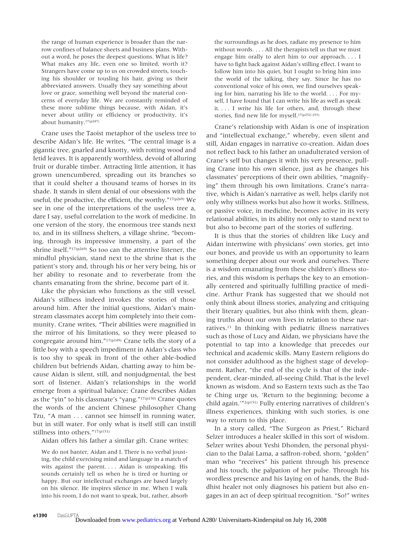the range of human experience is broader than the narrow confines of balance sheets and business plans. Without a word, he poses the deepest questions. What is life? What makes any life, even one so limited, worth it? Strangers have come up to us on crowded streets, touching his shoulder or tousling his hair, giving us their abbreviated answers. Usually they say something about love or grace, something well beyond the material concerns of everyday life. We are constantly reminded of these more sublime things because, with Aidan, it's never about utility or efficiency or productivity, it's about humanity.17(p247)

Crane uses the Taoist metaphor of the useless tree to describe Aidan's life. He writes, "The central image is a gigantic tree, gnarled and knotty, with rotting wood and fetid leaves. It is apparently worthless, devoid of alluring fruit or durable timber. Attracting little attention, it has grown unencumbered, spreading out its branches so that it could shelter a thousand teams of horses in its shade. It stands in silent denial of our obsessions with the useful, the productive, the efficient, the worthy."17(p269) We see in one of the interpretations of the useless tree a, dare I say, useful correlation to the work of medicine. In one version of the story, the enormous tree stands next to, and in its stillness shelters, a village shrine, "becoming, through its impressive immensity, a part of the shrine itself."17(p269) So too can the attentive listener, the mindful physician, stand next to the shrine that is the patient's story and, through his or her very being, his or her ability to resonate and to reverberate from the chants emanating from the shrine, become part of it.

Like the physician who functions as the still vessel, Aidan's stillness indeed invokes the stories of those around him. After the initial questions, Aidan's mainstream classmates accept him completely into their community. Crane writes, "Their abilities were magnified in the mirror of his limitations, so they were pleased to congregate around him."17(p149) Crane tells the story of a little boy with a speech impediment in Aidan's class who is too shy to speak in front of the other able-bodied children but befriends Aidan, chatting away to him because Aidan is silent, still, and nonjudgmental, the best sort of listener. Aidan's relationships in the world emerge from a spiritual balance; Crane describes Aidan as the "yin" to his classmate's "yang."17(p150) Crane quotes the words of the ancient Chinese philosopher Chang Tzu, "A man . . . cannot see himself in running water, but in still water. For only what is itself still can instill stillness into others."17(p151)

Aidan offers his father a similar gift. Crane writes:

We do not banter, Aidan and I. There is no verbal jousting, the child exercising mind and language in a match of wits against the parent.... Aidan is unspeaking. His sounds certainly tell us when he is tired or hurting or happy. But our intellectual exchanges are based largely on his silence. He inspires silence in me. When I walk into his room, I do not want to speak, but, rather, absorb the surroundings as he does, radiate my presence to him without words. . . . All the therapists tell us that we must engage him orally to alert him to our approach.... I have to fight back against Aidan's stilling effect. I want to follow him into his quiet, but I ought to bring him into the world of the talking, they say. Since he has no conventional voice of his own, we find ourselves speaking for him, narrating his life to the world. . . . For myself, I have found that I can write his life as well as speak it. . . . I write his life for others, and, through these stories, find new life for myself. $^{17\left(\text{p252-255}\right)}$ 

Crane's relationship with Aidan is one of inspiration and "intellectual exchange," whereby, even silent and still, Aidan engages in narrative co-creation. Aidan does not reflect back to his father an unadulterated version of Crane's self but changes it with his very presence, pulling Crane into his own silence, just as he changes his classmates' perceptions of their own abilities, "magnifying" them through his own limitations. Crane's narrative, which is Aidan's narrative as well, helps clarify not only why stillness works but also how it works. Stillness, or passive voice, in medicine, becomes active in its very relational abilities, in its ability not only to stand next to but also to become part of the stories of suffering.

It is thus that the stories of children like Lucy and Aidan intertwine with physicians' own stories, get into our bones, and provide us with an opportunity to learn something deeper about our work and ourselves. There is a wisdom emanating from these children's illness stories, and this wisdom is perhaps the key to an emotionally centered and spiritually fulfilling practice of medicine. Arthur Frank has suggested that we should not only think about illness stories, analyzing and critiquing their literary qualities, but also think with them, gleaning truths about our own lives in relation to these narratives.13 In thinking with pediatric illness narratives such as those of Lucy and Aidan, we physicians have the potential to tap into a knowledge that precedes our technical and academic skills. Many Eastern religions do not consider adulthood as the highest stage of development. Rather, "the end of the cycle is that of the independent, clear-minded, all-seeing Child. That is the level known as wisdom. And so Eastern texts such as the Tao te Ching urge us, 'Return to the beginning; become a child again.'"2(p151) Fully entering narratives of children's illness experiences, thinking with such stories, is one way to return to this place.

In a story called, "The Surgeon as Priest," Richard Selzer introduces a healer skilled in this sort of wisdom. Selzer writes about Yeshi Dhonden, the personal physician to the Dalai Lama, a saffron-robed, shorn, "golden" man who "receives" his patient through his presence and his touch, the palpation of her pulse. Through his wordless presence and his laying on of hands, the Buddhist healer not only diagnoses his patient but also engages in an act of deep spiritual recognition. "So!" writes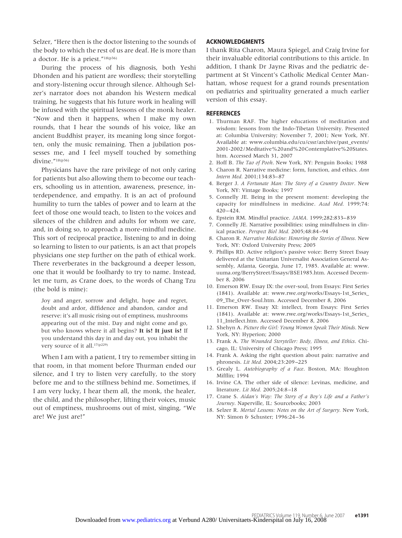Selzer, "Here then is the doctor listening to the sounds of the body to which the rest of us are deaf. He is more than a doctor. He is a priest."18(p36)

During the process of his diagnosis, both Yeshi Dhonden and his patient are wordless; their storytelling and story-listening occur through silence. Although Selzer's narrator does not abandon his Western medical training, he suggests that his future work in healing will be infused with the spiritual lessons of the monk healer. "Now and then it happens, when I make my own rounds, that I hear the sounds of his voice, like an ancient Buddhist prayer, its meaning long since forgotten, only the music remaining. Then a jubilation possesses me, and I feel myself touched by something divine."18(p36)

Physicians have the rare privilege of not only caring for patients but also allowing them to become our teachers, schooling us in attention, awareness, presence, interdependence, and empathy. It is an act of profound humility to turn the tables of power and to learn at the feet of those one would teach, to listen to the voices and silences of the children and adults for whom we care, and, in doing so, to approach a more-mindful medicine. This sort of reciprocal practice, listening to and in doing so learning to listen to our patients, is an act that propels physicians one step further on the path of ethical work. There reverberates in the background a deeper lesson, one that it would be foolhardy to try to name. Instead, let me turn, as Crane does, to the words of Chang Tzu (the bold is mine):

Joy and anger, sorrow and delight, hope and regret, doubt and ardor, diffidence and abandon, candor and reserve: it's all music rising out of emptiness, mushrooms appearing out of the mist. Day and night come and go, but who knows where it all begins? **It is! It just is!** If you understand this day in and day out, you inhabit the very source of it all.17(p229)

When I am with a patient, I try to remember sitting in that room, in that moment before Thurman ended our silence, and I try to listen very carefully, to the story before me and to the stillness behind me. Sometimes, if I am very lucky, I hear them all, the monk, the healer, the child, and the philosopher, lifting their voices, music out of emptiness, mushrooms out of mist, singing, "We are! We just are!"

# **ACKNOWLEDGMENTS**

I thank Rita Charon, Maura Spiegel, and Craig Irvine for their invaluable editorial contributions to this article. In addition, I thank Dr Jayne Rivas and the pediatric department at St Vincent's Catholic Medical Center Manhattan, whose request for a grand rounds presentation on pediatrics and spirituality generated a much earlier version of this essay.

## **REFERENCES**

- 1. Thurman RAF. The higher educations of meditation and wisdom: lessons from the Indo-Tibetan University. Presented at: Columbia University; November 7, 2001; New York, NY. Available at: www.columbia.edu/cu/cssr/archive/past\_events/ 2001-2002/Meditative%20and%20Contemplative%20States. htm. Accessed March 31, 2007
- 2. Hoff B. *The Tao of Pooh*. New York, NY: Penguin Books; 1988
- 3. Charon R. Narrative medicine: form, function, and ethics. *Ann Intern Med.* 2001;134:83– 87
- 4. Berger J. *A Fortunate Man: The Story of a Country Doctor*. New York, NY: Vintage Books; 1997
- 5. Connelly JE. Being in the present moment: developing the capacity for mindfulness in medicine. *Acad Med.* 1999;74: 420 – 424.
- 6. Epstein RM. Mindful practice. *JAMA.* 1999;282:833– 839
- 7. Connelly JE. Narrative possibilities: using mindfulness in clinical practice. *Perspect Biol Med.* 2005;48:84 –94
- 8. Charon R. *Narrative Medicine: Honoring the Stories of Illness*. New York, NY: Oxford University Press; 2005
- 9. Phillips RD. Active religion's passive voice: Berry Street Essay delivered at the Unitarian Universalist Association General Assembly, Atlanta, Georgia, June 17, 1985. Available at: www. uuma.org/BerryStreet/Essays/BSE1985.htm. Accessed December 8, 2006
- 10. Emerson RW. Essay IX: the over-soul, from Essays: First Series (1841). Available at: www.rwe.org/works/Essays-1st\_Series\_ 09\_The\_Over-Soul.htm. Accessed December 8, 2006
- 11. Emerson RW. Essay XI: intellect, from Essays: First Series (1841). Available at: www.rwe.org/works/Essays-1st\_Series\_ 11\_Intellect.htm. Accessed December 8, 2006
- 12. Shehyn A. *Picture the Girl: Young Women Speak Their Minds*. New York, NY: Hyperion; 2000
- 13. Frank A. *The Wounded Storyteller: Body, Illness, and Ethics*. Chicago, IL: University of Chicago Press; 1995
- 14. Frank A. Asking the right question about pain: narrative and phronesis. *Lit Med.* 2004;23:209 –225
- 15. Grealy L. *Autobiography of a Face*. Boston, MA: Houghton Mifflin; 1994
- 16. Irvine CA. The other side of silence: Levinas, medicine, and literature. *Lit Med.* 2005;24:8 –18
- 17. Crane S. *Aidan's Way: The Story of a Boy's Life and a Father's Journey*. Naperville, IL: Sourcebooks; 2003
- 18. Selzer R. *Mortal Lessons: Notes on the Art of Surgery.* New York, NY: Simon & Schuster; 1996:24 –36